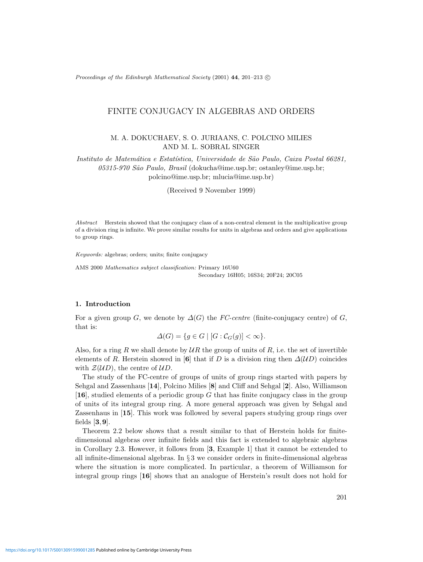Proceedings of the Edinburgh Mathematical Society (2001) **44**, 201–213 c

# FINITE CONJUGACY IN ALGEBRAS AND ORDERS

# M. A. DOKUCHAEV, S. O. JURIAANS, C. POLCINO MILIES AND M. L. SOBRAL SINGER

Instituto de Matemática e Estatística, Universidade de São Paulo, Caixa Postal 66281, 05315-970 São Paulo, Brasil (dokucha@ime.usp.br; ostanley@ime.usp.br; polcino@ime.usp.br; mlucia@ime.usp.br)

(Received 9 November 1999)

Abstract Herstein showed that the conjugacy class of a non-central element in the multiplicative group of a division ring is infinite. We prove similar results for units in algebras and orders and give applications to group rings.

Keywords: algebras; orders; units; finite conjugacy

AMS 2000 Mathematics subject classification: Primary 16U60 Secondary 16H05; 16S34; 20F24; 20C05

## **1. Introduction**

For a given group G, we denote by  $\Delta(G)$  the FC-centre (finite-conjugacy centre) of G, that is:

$$
\Delta(G) = \{ g \in G \mid [G : C_G(g)] < \infty \}.
$$

Also, for a ring R we shall denote by  $UR$  the group of units of R, i.e. the set of invertible elements of R. Herstein showed in [6] that if D is a division ring then  $\Delta(UD)$  coincides with  $\mathcal{Z}(UD)$ , the centre of  $UD$ .

The study of the FC-centre of groups of units of group rings started with papers by Sehgal and Zassenhaus [**14**], Polcino Milies [**8**] and Cliff and Sehgal [**2**]. Also, Williamson [**16**], studied elements of a periodic group G that has finite conjugacy class in the group of units of its integral group ring. A more general approach was given by Sehgal and Zassenhaus in [**15**]. This work was followed by several papers studying group rings over fields [**3**,**9**].

Theorem 2.2 below shows that a result similar to that of Herstein holds for finitedimensional algebras over infinite fields and this fact is extended to algebraic algebras in Corollary 2.3. However, it follows from [**3**, Example 1] that it cannot be extended to all infinite-dimensional algebras. In  $\S 3$  we consider orders in finite-dimensional algebras where the situation is more complicated. In particular, a theorem of Williamson for integral group rings [**16**] shows that an analogue of Herstein's result does not hold for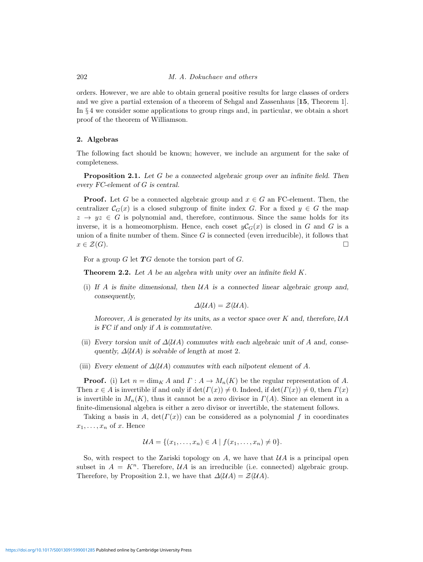orders. However, we are able to obtain general positive results for large classes of orders and we give a partial extension of a theorem of Sehgal and Zassenhaus [**15**, Theorem 1]. In § 4 we consider some applications to group rings and, in particular, we obtain a short proof of the theorem of Williamson.

### **2. Algebras**

The following fact should be known; however, we include an argument for the sake of completeness.

**Proposition 2.1.** Let G be a connected algebraic group over an infinite field. Then every FC-element of G is central.

**Proof.** Let G be a connected algebraic group and  $x \in G$  an FC-element. Then, the centralizer  $C_G(x)$  is a closed subgroup of finite index G. For a fixed  $y \in G$  the map  $z \rightarrow yz \in G$  is polynomial and, therefore, continuous. Since the same holds for its inverse, it is a homeomorphism. Hence, each coset  $yC<sub>G</sub>(x)$  is closed in G and G is a union of a finite number of them. Since  $G$  is connected (even irreducible), it follows that  $x \in \mathcal{Z}(G)$ .

For a group  $G$  let  $TG$  denote the torsion part of  $G$ .

**Theorem 2.2.** Let A be an algebra with unity over an infinite field K.

(i) If A is finite dimensional, then  $\mathcal{U}A$  is a connected linear algebraic group and, consequently,

$$
\Delta(\mathcal{U}A) = \mathcal{Z}(\mathcal{U}A).
$$

Moreover,  $A$  is generated by its units, as a vector space over  $K$  and, therefore,  $UA$ is FC if and only if A is commutative.

- (ii) Every torsion unit of  $\Delta(\mathcal{U}A)$  commutes with each algebraic unit of A and, consequently,  $\Delta(\mathcal{U}A)$  is solvable of length at most 2.
- (iii) Every element of  $\Delta(\mathcal{U}A)$  commutes with each nilpotent element of A.

**Proof.** (i) Let  $n = \dim_K A$  and  $\Gamma: A \to M_n(K)$  be the regular representation of A. Then  $x \in A$  is invertible if and only if  $\det(\Gamma(x)) \neq 0$ . Indeed, if  $\det(\Gamma(x)) \neq 0$ , then  $\Gamma(x)$ is invertible in  $M_n(K)$ , thus it cannot be a zero divisor in  $\Gamma(A)$ . Since an element in a finite-dimensional algebra is either a zero divisor or invertible, the statement follows.

Taking a basis in A,  $\det(\Gamma(x))$  can be considered as a polynomial f in coordinates  $x_1,\ldots,x_n$  of x. Hence

$$
\mathcal{U}A = \{(x_1, \ldots, x_n) \in A \mid f(x_1, \ldots, x_n) \neq 0\}.
$$

So, with respect to the Zariski topology on A, we have that  $\mathcal{U}A$  is a principal open subset in  $A = K<sup>n</sup>$ . Therefore,  $U A$  is an irreducible (i.e. connected) algebraic group. Therefore, by Proposition 2.1, we have that  $\Delta(\mathcal{U}A) = \mathcal{Z}(\mathcal{U}A)$ .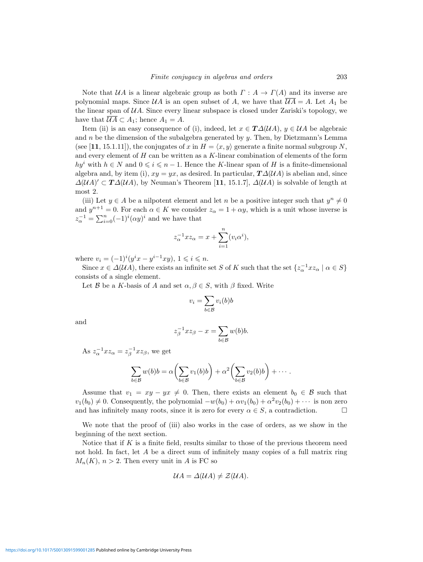Note that  $UA$  is a linear algebraic group as both  $\Gamma : A \to \Gamma(A)$  and its inverse are polynomial maps. Since  $\mathcal{U}A$  is an open subset of A, we have that  $\overline{\mathcal{U}A} = A$ . Let  $A_1$  be the linear span of  $U\Lambda$ . Since every linear subspace is closed under Zariski's topology, we have that  $\mathcal{U}A \subset A_1$ ; hence  $A_1 = A$ .

Item (ii) is an easy consequence of (i), indeed, let  $x \in T\Delta(\mathcal{U}A)$ ,  $y \in \mathcal{U}A$  be algebraic and  $n$  be the dimension of the subalgebra generated by  $y$ . Then, by Dietzmann's Lemma (see [11, 15.1.11]), the conjugates of x in  $H = \langle x, y \rangle$  generate a finite normal subgroup N, and every element of  $H$  can be written as a  $K$ -linear combination of elements of the form hy<sup>i</sup> with  $h \in N$  and  $0 \leq i \leq n-1$ . Hence the K-linear span of H is a finite-dimensional algebra and, by item (i),  $xy = yx$ , as desired. In particular,  $T\Delta(\mathcal{U}A)$  is abelian and, since  $\Delta(\mathcal{U}A) \subset \mathbf{T}\Delta(\mathcal{U}A)$ , by Neuman's Theorem [11, 15.1.7],  $\Delta(\mathcal{U}A)$  is solvable of length at most 2.

(iii) Let  $y \in A$  be a nilpotent element and let n be a positive integer such that  $y^n \neq 0$ and  $y^{n+1} = 0$ . For each  $\alpha \in K$  we consider  $z_{\alpha} = 1 + \alpha y$ , which is a unit whose inverse is  $z_\alpha^{-1} = \sum_{i=0}^n (-1)^i (\alpha y)^i$  and we have that

$$
z_{\alpha}^{-1}xz_{\alpha} = x + \sum_{i=1}^{n} (v_i \alpha^i),
$$

where  $v_i = (-1)^i (y^i x - y^{i-1} xy)$ ,  $1 \leq i \leq n$ .

Since  $x \in \Delta(\mathcal{U}A)$ , there exists an infinite set S of K such that the set  $\{z_\alpha^{-1} x z_\alpha \mid \alpha \in S\}$ consists of a single element.

Let B be a K-basis of A and set  $\alpha, \beta \in S$ , with  $\beta$  fixed. Write

$$
v_i = \sum_{b \in \mathcal{B}} v_i(b)b
$$

and

$$
z_{\beta}^{-1}xz_{\beta} - x = \sum_{b \in \mathcal{B}} w(b)b.
$$

As  $z_{\alpha}^{-1}xz_{\alpha} = z_{\beta}^{-1}xz_{\beta}$ , we get

$$
\sum_{b \in \mathcal{B}} w(b)b = \alpha \left( \sum_{b \in \mathcal{B}} v_1(b)b \right) + \alpha^2 \left( \sum_{b \in \mathcal{B}} v_2(b)b \right) + \cdots
$$

Assume that  $v_1 = xy - yx \neq 0$ . Then, there exists an element  $b_0 \in \mathcal{B}$  such that  $v_1(b_0) \neq 0$ . Consequently, the polynomial  $-w(b_0) + \alpha v_1(b_0) + \alpha^2 v_2(b_0) + \cdots$  is non zero and has infinitely many roots, since it is zero for every  $\alpha \in S$ , a contradiction.

We note that the proof of (iii) also works in the case of orders, as we show in the beginning of the next section.

Notice that if K is a finite field, results similar to those of the previous theorem need not hold. In fact, let A be a direct sum of infinitely many copies of a full matrix ring  $M_n(K)$ ,  $n > 2$ . Then every unit in A is FC so

$$
\mathcal{U}A = \Delta(\mathcal{U}A) \neq \mathcal{Z}(\mathcal{U}A).
$$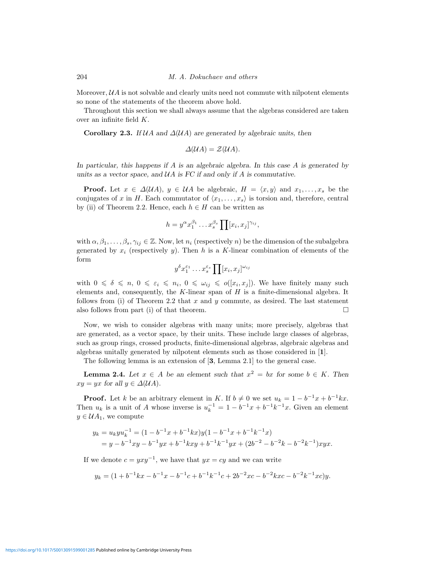Moreover,  $\mathcal{U}A$  is not solvable and clearly units need not commute with nilpotent elements so none of the statements of the theorem above hold.

Throughout this section we shall always assume that the algebras considered are taken over an infinite field K.

**Corollary 2.3.** If  $U A$  and  $\Delta (U A)$  are generated by algebraic units, then

$$
\Delta(\mathcal{U}A) = \mathcal{Z}(\mathcal{U}A).
$$

In particular, this happens if  $A$  is an algebraic algebra. In this case  $A$  is generated by units as a vector space, and  $UA$  is FC if and only if A is commutative.

**Proof.** Let  $x \in \Delta(\mathcal{U}A)$ ,  $y \in \mathcal{U}A$  be algebraic,  $H = \langle x, y \rangle$  and  $x_1, \ldots, x_s$  be the conjugates of x in H. Each commutator of  $\langle x_1,\ldots,x_s\rangle$  is torsion and, therefore, central by (ii) of Theorem 2.2. Hence, each  $h \in H$  can be written as

$$
h = y^{\alpha} x_1^{\beta_1} \dots x_s^{\beta_s} \prod [x_i, x_j]^{\gamma_{ij}},
$$

with  $\alpha, \beta_1, \ldots, \beta_s, \gamma_{ij} \in \mathbb{Z}$ . Now, let  $n_i$  (respectively n) be the dimension of the subalgebra generated by  $x_i$  (respectively y). Then h is a K-linear combination of elements of the form

$$
y^{\delta}x_1^{\epsilon_1}\dots x_s^{\epsilon_s}\prod [x_i,x_j]^{\omega_{ij}}
$$

with  $0 \le \delta \le n$ ,  $0 \le \varepsilon_i \le n_i$ ,  $0 \le \omega_{ij} \le o([x_i, x_j])$ . We have finitely many such elements and, consequently, the  $K$ -linear span of  $H$  is a finite-dimensional algebra. It follows from (i) of Theorem 2.2 that  $x$  and  $y$  commute, as desired. The last statement also follows from part (i) of that theorem.  $\Box$ 

Now, we wish to consider algebras with many units; more precisely, algebras that are generated, as a vector space, by their units. These include large classes of algebras, such as group rings, crossed products, finite-dimensional algebras, algebraic algebras and algebras unitally generated by nilpotent elements such as those considered in [**1**].

The following lemma is an extension of [**3**, Lemma 2.1] to the general case.

**Lemma 2.4.** Let  $x \in A$  be an element such that  $x^2 = bx$  for some  $b \in K$ . Then  $xy = yx$  for all  $y \in \Delta(\mathcal{U}A)$ .

**Proof.** Let k be an arbitrary element in K. If  $b \neq 0$  we set  $u_k = 1 - b^{-1}x + b^{-1}kx$ . Then  $u_k$  is a unit of A whose inverse is  $u_k^{-1} = 1 - b^{-1}x + b^{-1}k^{-1}x$ . Given an element  $y \in \mathcal{U}A_1$ , we compute

$$
y_k = u_k y u_k^{-1} = (1 - b^{-1}x + b^{-1}kx)y(1 - b^{-1}x + b^{-1}k^{-1}x)
$$
  
=  $y - b^{-1}xy - b^{-1}yx + b^{-1}kxy + b^{-1}k^{-1}yx + (2b^{-2} - b^{-2}k - b^{-2}k^{-1})xyx.$ 

If we denote  $c = yxy^{-1}$ , we have that  $yx = cy$  and we can write

$$
y_k = (1 + b^{-1}kx - b^{-1}x - b^{-1}c + b^{-1}k^{-1}c + 2b^{-2}xc - b^{-2}kxc - b^{-2}k^{-1}xc)y.
$$

<https://doi.org/10.1017/S0013091599001285>Published online by Cambridge University Press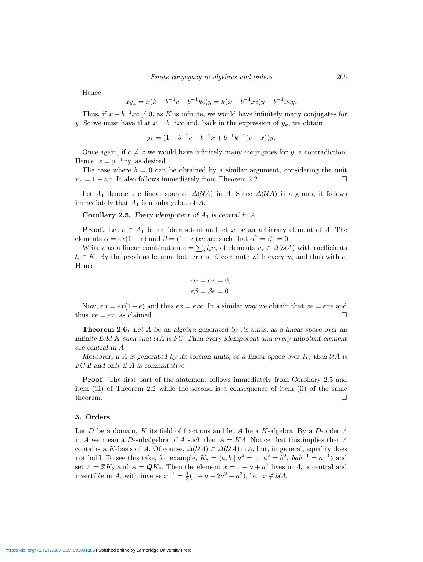Hence

$$
xy_k = x(k + b^{-1}c - b^{-1}kc)y = k(x - b^{-1}xc)y + b^{-1}xcy.
$$

Thus, if  $x - b^{-1}xc \neq 0$ , as K is infinite, we would have infinitely many conjugates for y. So we must have that  $x = b^{-1}xc$  and, back in the expression of  $y_k$ , we obtain

$$
y_k = (1 - b^{-1}c + b^{-1}x + b^{-1}k^{-1}(c - x))y.
$$

Once again, if  $c \neq x$  we would have infinitely many conjugates for y, a contradiction. Hence,  $x = y^{-1}xy$ , as desired.

The case where  $b = 0$  can be obtained by a similar argument, considering the unit  $u_a = 1 + ax$ . It also follows immediately from Theorem 2.2.

Let  $A_1$  denote the linear span of  $\Delta(\mathcal{U}A)$  in A. Since  $\Delta(\mathcal{U}A)$  is a group, it follows immediately that  $A_1$  is a subalgebra of  $A$ .

**Corollary 2.5.** Every idempotent of  $A_1$  is central in  $A$ .

**Proof.** Let  $e \in A_1$  be an idempotent and let x be an arbitrary element of A. The elements  $\alpha = \exp(1 - e)$  and  $\beta = (1 - e)xe$  are such that  $\alpha^2 = \beta^2 = 0$ .

Write e as a linear combination  $e = \sum_i l_i u_i$  of elements  $u_i \in \Delta(\mathcal{U}A)$  with coefficients  $l_i \in K$ . By the previous lemma, both  $\alpha$  and  $\beta$  commute with every  $u_i$  and thus with e. Hence

$$
e\alpha = \alpha e = 0,
$$
  

$$
e\beta = \beta e = 0.
$$

Now,  $e\alpha = ex(1-e)$  and thus  $ex = exe$ . In a similar way we obtain that  $xe = exe$  and thus  $xe = ex$ , as claimed.

**Theorem 2.6.** Let A be an algebra generated by its units, as a linear space over an infinite field  $K$  such that  $U\Lambda$  is FC. Then every idempotent and every nilpotent element are central in A.

Moreover, if A is generated by its torsion units, as a linear space over K, then  $\mathcal{U}A$  is FC if and only if A is commutative.

**Proof.** The first part of the statement follows immediately from Corollary 2.5 and item (iii) of Theorem 2.2 while the second is a consequence of item (ii) of the same theorem.  $\Box$ 

### **3. Orders**

Let D be a domain, K its field of fractions and let A be a K-algebra. By a D-order  $\Lambda$ in A we mean a D-subalgebra of A such that  $A = K\Lambda$ . Notice that this implies that  $\Lambda$ contains a K-basis of A. Of course,  $\Delta(\mathcal{U}A) \subset \Delta(\mathcal{U}A) \cap A$ , but, in general, equality does not hold. To see this take, for example,  $K_8 = \langle a, b \mid a^4 = 1, a^2 = b^2, bab^{-1} = a^{-1} \rangle$  and set  $\Lambda = \mathbb{Z}K_8$  and  $A = \mathbf{Q}K_8$ . Then the element  $x = 1 + a + a^3$  lives in  $\Lambda$ , is central and invertible in A, with inverse  $x^{-1} = \frac{1}{3}(1 + a - 2a^2 + a^3)$ , but  $x \notin \mathcal{U}\Lambda$ .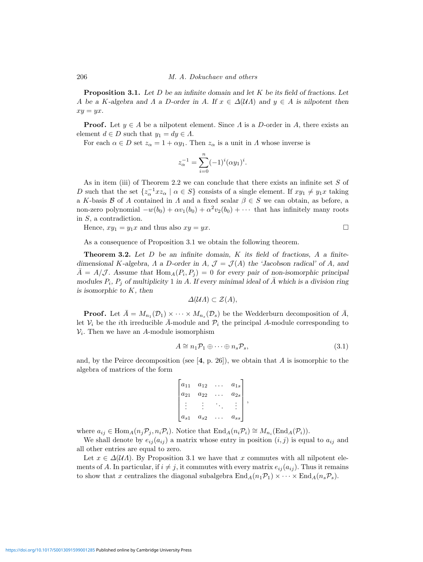206 M. A. Dokuchaev and others

**Proposition 3.1.** Let D be an infinite domain and let K be its field of fractions. Let A be a K-algebra and  $\Lambda$  a D-order in A. If  $x \in \Delta(\mathcal{U}\Lambda)$  and  $y \in A$  is nilpotent then  $xy = yx$ .

**Proof.** Let  $y \in A$  be a nilpotent element. Since  $\Lambda$  is a D-order in  $A$ , there exists an element  $d \in D$  such that  $y_1 = dy \in \Lambda$ .

For each  $\alpha \in D$  set  $z_{\alpha} = 1 + \alpha y_1$ . Then  $z_{\alpha}$  is a unit in  $\Lambda$  whose inverse is

$$
z_{\alpha}^{-1} = \sum_{i=0}^{n} (-1)^{i} (\alpha y_1)^{i}.
$$

As in item (iii) of Theorem 2.2 we can conclude that there exists an infinite set S of D such that the set  $\{z_\alpha^{-1} x z_\alpha \mid \alpha \in S\}$  consists of a single element. If  $xy_1 \neq y_1x$  taking a K-basis B of A contained in  $\Lambda$  and a fixed scalar  $\beta \in S$  we can obtain, as before, a non-zero polynomial  $-w(b_0) + \alpha v_1(b_0) + \alpha^2 v_2(b_0) + \cdots$  that has infinitely many roots in S, a contradiction.

Hence,  $xy_1 = y_1x$  and thus also  $xy = yx$ .

As a consequence of Proposition 3.1 we obtain the following theorem.

**Theorem 3.2.** Let D be an infinite domain, K its field of fractions, A a finitedimensional K-algebra,  $\Lambda$  a D-order in  $A, \mathcal{J} = \mathcal{J}(A)$  the 'Jacobson radical' of  $A$ , and  $\bar{A} = A/\mathcal{J}$ . Assume that  $\text{Hom}_{A}(P_i, P_j) = 0$  for every pair of non-isomorphic principal modules  $P_i$ ,  $P_j$  of multiplicity 1 in A. If every minimal ideal of  $\overline{A}$  which is a division ring is isomorphic to  $K$ , then

$$
\Delta(\mathcal{U}A) \subset \mathcal{Z}(A),
$$

**Proof.** Let  $\overline{A} = M_{n_1}(\mathcal{D}_1) \times \cdots \times M_{n_s}(\mathcal{D}_s)$  be the Wedderburn decomposition of  $\overline{A}$ , let  $V_i$  be the *i*th irreducible  $\overline{A}$ -module and  $\mathcal{P}_i$  the principal A-module corresponding to  $V_i$ . Then we have an A-module isomorphism

$$
A \cong n_1 \mathcal{P}_1 \oplus \cdots \oplus n_s \mathcal{P}_s,\tag{3.1}
$$

,

and, by the Peirce decomposition (see  $[4, p. 26]$ ), we obtain that A is isomorphic to the algebra of matrices of the form

$$
\begin{bmatrix} a_{11} & a_{12} & \dots & a_{1s} \\ a_{21} & a_{22} & \dots & a_{2s} \\ \vdots & \vdots & \ddots & \vdots \\ a_{s1} & a_{s2} & \dots & a_{ss} \end{bmatrix}
$$

where  $a_{ij} \in \text{Hom}_A(n_i \mathcal{P}_i, n_i \mathcal{P}_i)$ . Notice that  $\text{End}_A(n_i \mathcal{P}_i) \cong M_{n_i}(\text{End}_A(\mathcal{P}_i))$ .

We shall denote by  $e_{ij}(a_{ij})$  a matrix whose entry in position  $(i, j)$  is equal to  $a_{ij}$  and all other entries are equal to zero.

Let  $x \in \Delta(\mathcal{U}\Lambda)$ . By Proposition 3.1 we have that x commutes with all nilpotent elements of A. In particular, if  $i \neq j$ , it commutes with every matrix  $e_{ij}(a_{ij})$ . Thus it remains to show that x centralizes the diagonal subalgebra  $\text{End}_A(n_1\mathcal{P}_1)\times\cdots\times \text{End}_A(n_s\mathcal{P}_s)$ .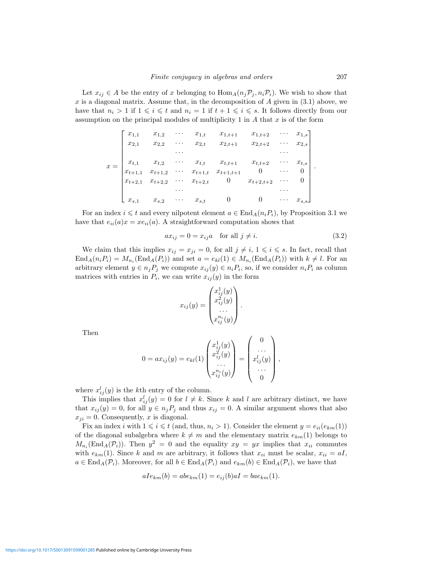Let  $x_{ij} \in A$  be the entry of x belonging to  $\text{Hom}_A(n_j \mathcal{P}_j, n_i \mathcal{P}_i)$ . We wish to show that x is a diagonal matrix. Assume that, in the decomposition of  $A$  given in  $(3.1)$  above, we have that  $n_i > 1$  if  $1 \leq i \leq t$  and  $n_i = 1$  if  $t + 1 \leq i \leq s$ . It follows directly from our assumption on the principal modules of multiplicity 1 in  $A$  that  $x$  is of the form

$$
x = \begin{bmatrix} x_{1,1} & x_{1,2} & \cdots & x_{1,t} & x_{1,t+1} & x_{1,t+2} & \cdots & x_{1,s} \\ x_{2,1} & x_{2,2} & \cdots & x_{2,t} & x_{2,t+1} & x_{2,t+2} & \cdots & x_{2,s} \\ \vdots & \vdots & \ddots & \vdots & \ddots & \vdots \\ x_{t,1} & x_{t,2} & \cdots & x_{t,t} & x_{t,t+1} & x_{t,t+2} & \cdots & x_{t,s} \\ x_{t+1,1} & x_{t+1,2} & \cdots & x_{t+1,t} & x_{t+1,t+1} & 0 & \cdots & 0 \\ x_{t+2,1} & x_{t+2,2} & \cdots & x_{t+2,t} & 0 & x_{t+2,t+2} & \cdots & 0 \\ \vdots & \vdots & \vdots & \ddots & \vdots & \vdots \\ x_{s,1} & x_{s,2} & \cdots & x_{s,t} & 0 & 0 & \cdots & x_{s,s} \end{bmatrix}
$$

For an index  $i \leq t$  and every nilpotent element  $a \in \text{End}_{A}(n_{i}P_{i}),$  by Proposition 3.1 we have that  $e_{ii}(a)x = xe_{ii}(a)$ . A straightforward computation shows that

$$
ax_{ij} = 0 = x_{ij}a \quad \text{for all } j \neq i. \tag{3.2}
$$

We claim that this implies  $x_{ij} = x_{ji} = 0$ , for all  $j \neq i, 1 \leq i \leq s$ . In fact, recall that  $\text{End}_{A}(n_{i}P_{i}) = M_{n_{i}}(\text{End}_{A}(P_{i}))$  and set  $a = e_{kl}(1) \in M_{n_{i}}(\text{End}_{A}(P_{i}))$  with  $k \neq l$ . For an arbitrary element  $y \in n_j P_j$  we compute  $x_{ij}(y) \in n_i P_i$ , so, if we consider  $n_i P_i$  as column matrices with entries in  $P_i$ , we can write  $x_{ij}(y)$  in the form

$$
x_{ij}(y) = \begin{pmatrix} x_{ij}^1(y) \\ x_{ij}^2(y) \\ \dots \\ x_{ij}^{n_i}(y) \end{pmatrix}.
$$

Then

$$
0 = ax_{ij}(y) = e_{kl}(1) \begin{pmatrix} x_{ij}^1(y) \\ x_{ij}^2(y) \\ \dots \\ x_{ij}^{n_i}(y) \end{pmatrix} = \begin{pmatrix} 0 \\ \dots \\ x_{ij}^l(y) \\ \dots \\ 0 \end{pmatrix},
$$

where  $x_{ij}^l(y)$  is the kth entry of the column.

This implies that  $x_{ij}^l(y) = 0$  for  $l \neq k$ . Since k and l are arbitrary distinct, we have that  $x_{ij}(y) = 0$ , for all  $y \in n_j P_j$  and thus  $x_{ij} = 0$ . A similar argument shows that also  $x_{ji} = 0$ . Consequently, x is diagonal.

Fix an index i with  $1 \leq i \leq t$  (and, thus,  $n_i > 1$ ). Consider the element  $y = e_{ii}(e_{km}(1))$ of the diagonal subalgebra where  $k \neq m$  and the elementary matrix  $e_{km}(1)$  belongs to  $M_{n_i}(\text{End}_A(\mathcal{P}_i))$ . Then  $y^2 = 0$  and the equality  $xy = yx$  implies that  $x_{ii}$  commutes with  $e_{km}(1)$ . Since k and m are arbitrary, it follows that  $x_{ii}$  must be scalar,  $x_{ii} = aI$ ,  $a \in \text{End}_{A}(\mathcal{P}_{i})$ . Moreover, for all  $b \in \text{End}_{A}(\mathcal{P}_{i})$  and  $e_{km}(b) \in \text{End}_{A}(\mathcal{P}_{i})$ , we have that

$$
aIe_{km}(b) = abe_{km}(1) = e_{ij}(b)aI = bae_{km}(1).
$$

<https://doi.org/10.1017/S0013091599001285>Published online by Cambridge University Press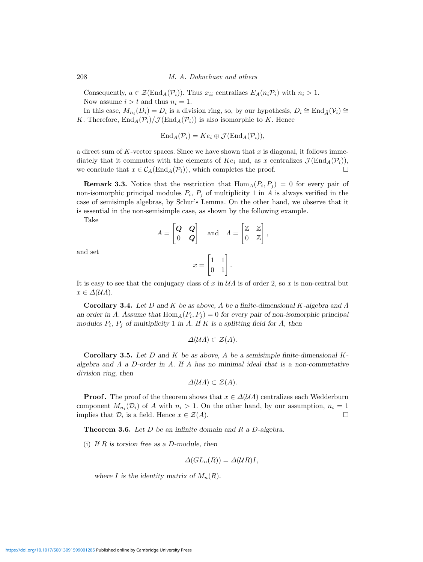208 M. A. Dokuchaev and others

Consequently,  $a \in \mathcal{Z}(\text{End}_A(\mathcal{P}_i))$ . Thus  $x_{ii}$  centralizes  $E_A(n_i \mathcal{P}_i)$  with  $n_i > 1$ . Now assume  $i > t$  and thus  $n_i = 1$ .

In this case,  $M_{n_i}(D_i) = D_i$  is a division ring, so, by our hypothesis,  $D_i \cong \text{End}_{\bar{A}}(\mathcal{V}_i) \cong$ K. Therefore,  $\text{End}_A(\mathcal{P}_i)/\mathcal{J}(\text{End}_A(\mathcal{P}_i))$  is also isomorphic to K. Hence

$$
End_A(\mathcal{P}_i)=Ke_i\oplus \mathcal{J}(\mathrm{End}_A(\mathcal{P}_i)),
$$

a direct sum of  $K$ -vector spaces. Since we have shown that  $x$  is diagonal, it follows immediately that it commutes with the elements of  $Ke_i$  and, as x centralizes  $\mathcal{J}(\text{End}_A(\mathcal{P}_i)),$ we conclude that  $x \in C_A(\text{End}_A(\mathcal{P}_i))$ , which completes the proof.

**Remark 3.3.** Notice that the restriction that  $\text{Hom}_{A}(P_i, P_j) = 0$  for every pair of non-isomorphic principal modules  $P_i$ ,  $P_j$  of multiplicity 1 in A is always verified in the case of semisimple algebras, by Schur's Lemma. On the other hand, we observe that it is essential in the non-semisimple case, as shown by the following example.

Take

$$
A = \begin{bmatrix} \mathbf{Q} & \mathbf{Q} \\ 0 & \mathbf{Q} \end{bmatrix} \quad \text{and} \quad A = \begin{bmatrix} \mathbb{Z} & \mathbb{Z} \\ 0 & \mathbb{Z} \end{bmatrix},
$$

and set

$$
x = \begin{bmatrix} 1 & 1 \\ 0 & 1 \end{bmatrix}.
$$

It is easy to see that the conjugacy class of x in  $\mathcal{U}\Lambda$  is of order 2, so x is non-central but  $x \in \Delta(\mathcal{U}\Lambda).$ 

**Corollary 3.4.** Let D and K be as above, A be a finite-dimensional K-algebra and Λ an order in A. Assume that  $\text{Hom}_{A}(P_i, P_j) = 0$  for every pair of non-isomorphic principal modules  $P_i$ ,  $P_j$  of multiplicity 1 in A. If K is a splitting field for A, then

$$
\Delta(\mathcal{U}A) \subset \mathcal{Z}(A).
$$

**Corollary 3.5.** Let  $D$  and  $K$  be as above,  $A$  be a semisimple finite-dimensional  $K$ algebra and  $\Lambda$  a D-order in  $\Lambda$ . If  $\Lambda$  has no minimal ideal that is a non-commutative division ring, then

$$
\Delta(\mathcal{U}A)\subset \mathcal{Z}(A).
$$

**Proof.** The proof of the theorem shows that  $x \in \Delta(\mathcal{U}\Lambda)$  centralizes each Wedderburn component  $M_{n_i}(\mathcal{D}_i)$  of A with  $n_i > 1$ . On the other hand, by our assumption,  $n_i = 1$ implies that  $\mathcal{D}_i$  is a field. Hence  $x \in \mathcal{Z}(A)$ .

**Theorem 3.6.** Let D be an infinite domain and R a D-algebra.

(i) If  $R$  is torsion free as a D-module, then

$$
\Delta(GL_n(R))=\Delta(UR)I,
$$

where I is the identity matrix of  $M_n(R)$ .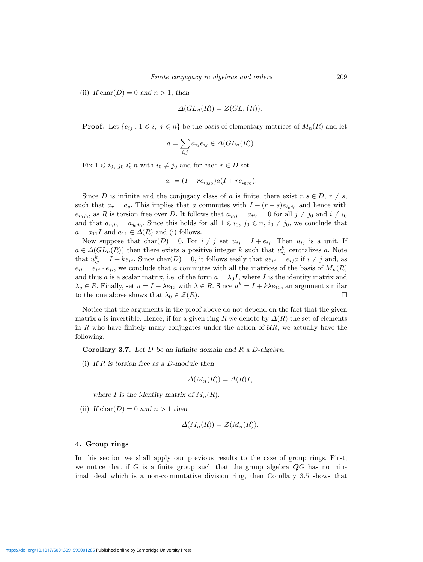(ii) If  $char(D)=0$  and  $n > 1$ , then

$$
\Delta(GL_n(R))=\mathcal{Z}(GL_n(R)).
$$

**Proof.** Let  $\{e_{ij} : 1 \leq i, j \leq n\}$  be the basis of elementary matrices of  $M_n(R)$  and let

$$
a = \sum_{i,j} a_{ij} e_{ij} \in \Delta(GL_n(R)).
$$

Fix  $1 \leq i_0, j_0 \leq n$  with  $i_0 \neq j_0$  and for each  $r \in D$  set

$$
a_r = (I - re_{i_0j_0})a(I + re_{i_0j_0}).
$$

Since D is infinite and the conjugacy class of a is finite, there exist  $r, s \in D$ ,  $r \neq s$ , such that  $a_r = a_s$ . This implies that a commutes with  $I + (r - s)e_{i_0j_0}$  and hence with  $e_{i_0j_0}$ , as R is torsion free over D. It follows that  $a_{j_0j} = a_{ii_0} = 0$  for all  $j \neq j_0$  and  $i \neq i_0$ and that  $a_{i_0i_0} = a_{j_0j_0}$ . Since this holds for all  $1 \leq i_0, j_0 \leq n$ ,  $i_0 \neq j_0$ , we conclude that  $a = a_{11}I$  and  $a_{11} \in \Delta(R)$  and (i) follows.

Now suppose that  $char(D) = 0$ . For  $i \neq j$  set  $u_{ij} = I + e_{ij}$ . Then  $u_{ij}$  is a unit. If  $a \in \Delta(GL_n(R))$  then there exists a positive integer k such that  $u_{ij}^k$  centralizes a. Note that  $u_{ij}^k = I + ke_{ij}$ . Since  $char(D) = 0$ , it follows easily that  $ae_{ij} = e_{ij}a$  if  $i \neq j$  and, as  $e_{ii} = e_{ij} \cdot e_{ji}$ , we conclude that a commutes with all the matrices of the basis of  $M_n(R)$ and thus a is a scalar matrix, i.e. of the form  $a = \lambda_0 I$ , where I is the identity matrix and  $\lambda_o \in R$ . Finally, set  $u = I + \lambda e_{12}$  with  $\lambda \in R$ . Since  $u^k = I + k\lambda e_{12}$ , an argument similar to the one above shows that  $\lambda_0 \in \mathcal{Z}(R)$ .

Notice that the arguments in the proof above do not depend on the fact that the given matrix a is invertible. Hence, if for a given ring R we denote by  $\Delta(R)$  the set of elements in R who have finitely many conjugates under the action of  $UR$ , we actually have the following.

**Corollary 3.7.** Let D be an infinite domain and R a D-algebra.

(i) If  $R$  is torsion free as a D-module then

$$
\Delta(M_n(R)) = \Delta(R)I,
$$

where I is the identity matrix of  $M_n(R)$ .

(ii) If  $char(D)=0$  and  $n > 1$  then

$$
\Delta(M_n(R)) = \mathcal{Z}(M_n(R)).
$$

### **4. Group rings**

In this section we shall apply our previous results to the case of group rings. First, we notice that if G is a finite group such that the group algebra *Q*G has no minimal ideal which is a non-commutative division ring, then Corollary 3.5 shows that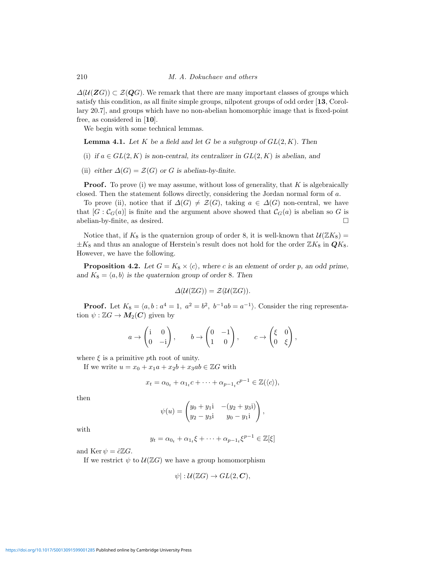$\Delta(\mathcal{U}(ZG)) \subset \mathcal{Z}(QG)$ . We remark that there are many important classes of groups which satisfy this condition, as all finite simple groups, nilpotent groups of odd order [**13**, Corollary 20.7], and groups which have no non-abelian homomorphic image that is fixed-point free, as considered in [**10**].

We begin with some technical lemmas.

**Lemma 4.1.** Let K be a field and let G be a subgroup of  $GL(2, K)$ . Then

- (i) if  $a \in GL(2, K)$  is non-central, its centralizer in  $GL(2, K)$  is abelian, and
- (ii) either  $\Delta(G) = \mathcal{Z}(G)$  or G is abelian-by-finite.

**Proof.** To prove (i) we may assume, without loss of generality, that  $K$  is algebraically closed. Then the statement follows directly, considering the Jordan normal form of a.

To prove (ii), notice that if  $\Delta(G) \neq \mathcal{Z}(G)$ , taking  $a \in \Delta(G)$  non-central, we have that  $[G: C_G(a)]$  is finite and the argument above showed that  $C_G(a)$  is abelian so G is abelian-by-finite, as desired.

Notice that, if  $K_8$  is the quaternion group of order 8, it is well-known that  $\mathcal{U}(\mathbb{Z}K_8)$  =  $\pm K_8$  and thus an analogue of Herstein's result does not hold for the order  $\mathbb{Z}K_8$  in  $\mathbf{Q}K_8$ . However, we have the following.

**Proposition 4.2.** Let  $G = K_8 \times \langle c \rangle$ , where c is an element of order p, an odd prime, and  $K_8 = \langle a, b \rangle$  is the quaternion group of order 8. Then

$$
\Delta(\mathcal{U}(\mathbb{Z}G)) = \mathcal{Z}(\mathcal{U}(\mathbb{Z}G)).
$$

**Proof.** Let  $K_8 = \langle a, b : a^4 = 1, a^2 = b^2, b^{-1}ab = a^{-1} \rangle$ . Consider the ring representation  $\psi : \mathbb{Z}G \to M_2(C)$  given by

$$
a \to \begin{pmatrix} i & 0 \\ 0 & -i \end{pmatrix}, \qquad b \to \begin{pmatrix} 0 & -1 \\ 1 & 0 \end{pmatrix}, \qquad c \to \begin{pmatrix} \xi & 0 \\ 0 & \xi \end{pmatrix},
$$

where  $\xi$  is a primitive pth root of unity.

If we write  $u = x_0 + x_1a + x_2b + x_3ab \in \mathbb{Z}G$  with

$$
x_t = \alpha_{0_t} + \alpha_{1_t}c + \dots + \alpha_{p-1_t}c^{p-1} \in \mathbb{Z}(\langle c \rangle),
$$

then

$$
\psi(u) = \begin{pmatrix} y_0 + y_1 i & -(y_2 + y_3 i) \\ y_2 - y_3 i & y_0 - y_1 i \end{pmatrix},
$$

with

$$
y_t = \alpha_{0_t} + \alpha_{1_t} \xi + \dots + \alpha_{p-1_t} \xi^{p-1} \in \mathbb{Z}[\xi]
$$

and Ker  $\psi = \partial Z G$ .

If we restrict  $\psi$  to  $\mathcal{U}(\mathbb{Z}G)$  we have a group homomorphism

$$
\psi\,]:\mathcal{U}(\mathbb{Z}G)\rightarrow GL(2,\mathbf{C}),
$$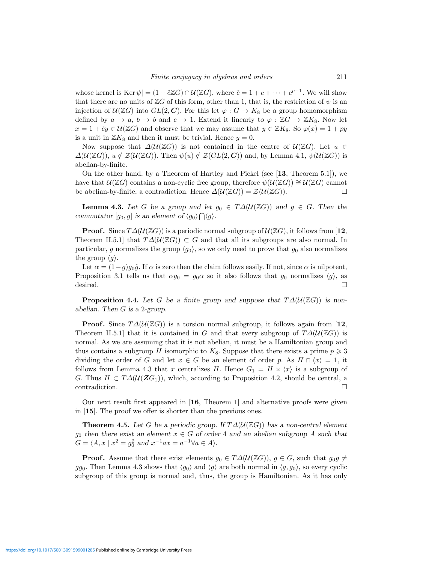whose kernel is Ker  $\psi$  =  $(1 + \partial \mathbb{Z}G) \cap \mathcal{U}(\mathbb{Z}G)$ , where  $\hat{c} = 1 + c + \cdots + c^{p-1}$ . We will show that there are no units of  $\mathbb{Z}G$  of this form, other than 1, that is, the restriction of  $\psi$  is an injection of  $U(\mathbb{Z}G)$  into  $GL(2,\mathbb{C})$ . For this let  $\varphi: G \to K_8$  be a group homomorphism defined by  $a \to a$ ,  $b \to b$  and  $c \to 1$ . Extend it linearly to  $\varphi : \mathbb{Z}G \to \mathbb{Z}K_8$ . Now let  $x = 1 + \hat{c}y \in \mathcal{U}(\mathbb{Z}G)$  and observe that we may assume that  $y \in \mathbb{Z}K_8$ . So  $\varphi(x) = 1 + py$ is a unit in  $\mathbb{Z}K_8$  and then it must be trivial. Hence  $y=0$ .

Now suppose that  $\Delta(U(\mathbb{Z}G))$  is not contained in the centre of  $U(\mathbb{Z}G)$ . Let  $u \in$  $\Delta(\mathcal{U}(\mathbb{Z}G)), u \notin \mathcal{Z}(\mathcal{U}(\mathbb{Z}G)).$  Then  $\psi(u) \notin \mathcal{Z}(GL(2, \mathbb{C}))$  and, by Lemma 4.1,  $\psi(\mathcal{U}(\mathbb{Z}G))$  is abelian-by-finite.

On the other hand, by a Theorem of Hartley and Pickel (see [**13**, Theorem 5.1]), we have that  $\mathcal{U}(\mathbb{Z}G)$  contains a non-cyclic free group, therefore  $\psi(\mathcal{U}(\mathbb{Z}G)) \cong \mathcal{U}(\mathbb{Z}G)$  cannot be abelian-by-finite, a contradiction. Hence  $\Delta(\mathcal{U}(\mathbb{Z}G)) = \mathcal{Z}(\mathcal{U}(\mathbb{Z}G)).$ 

**Lemma 4.3.** Let G be a group and let  $g_0 \in T\Delta(\mathcal{U}(\mathbb{Z}G))$  and  $g \in G$ . Then the commutator  $[g_0, g]$  is an element of  $\langle g_0 \rangle \bigcap \langle g \rangle$ .

**Proof.** Since  $T\Delta(\mathcal{U}(\mathbb{Z}G))$  is a periodic normal subgroup of  $\mathcal{U}(\mathbb{Z}G)$ , it follows from [12, Theorem II.5.1] that  $T\Delta(\mathcal{U}(\mathbb{Z}G))\subset G$  and that all its subgroups are also normal. In particular, g normalizes the group  $\langle g_0 \rangle$ , so we only need to prove that  $g_0$  also normalizes the group  $\langle g \rangle$ .

Let  $\alpha = (1-g)g_0\hat{g}$ . If  $\alpha$  is zero then the claim follows easily. If not, since  $\alpha$  is nilpotent, Proposition 3.1 tells us that  $\alpha g_0 = g_0 \alpha$  so it also follows that  $g_0$  normalizes  $\langle g \rangle$ , as desired.  $\square$ 

**Proposition 4.4.** Let G be a finite group and suppose that  $T\Delta(\mathcal{U}(\mathbb{Z}G))$  is nonabelian. Then G is a 2-group.

**Proof.** Since  $T\Delta(\mathcal{U}(\mathbb{Z}G))$  is a torsion normal subgroup, it follows again from [12, Theorem II.5.1] that it is contained in G and that every subgroup of  $T\Delta(\mathcal{U}(\mathbb{Z}G))$  is normal. As we are assuming that it is not abelian, it must be a Hamiltonian group and thus contains a subgroup H isomorphic to  $K_8$ . Suppose that there exists a prime  $p \geq 3$ dividing the order of G and let  $x \in G$  be an element of order p. As  $H \cap \langle x \rangle = 1$ , it follows from Lemma 4.3 that x centralizes H. Hence  $G_1 = H \times \langle x \rangle$  is a subgroup of G. Thus  $H \subset T\Delta(\mathcal{U}(ZG_1))$ , which, according to Proposition 4.2, should be central, a  $\Box$ contradiction.

Our next result first appeared in [**16**, Theorem 1] and alternative proofs were given in [**15**]. The proof we offer is shorter than the previous ones.

**Theorem 4.5.** Let G be a periodic group. If  $T\Delta(\mathcal{U}(\mathbb{Z}G))$  has a non-central element  $g_0$  then there exist an element  $x \in G$  of order 4 and an abelian subgroup A such that  $G = \langle A, x \mid x^2 = g_0^2 \text{ and } x^{-1}ax = a^{-1} \forall a \in A \rangle.$ 

**Proof.** Assume that there exist elements  $g_0 \in T\Delta(\mathcal{U}(\mathbb{Z}G))$ ,  $g \in G$ , such that  $g_0g \neq$ gg<sub>0</sub>. Then Lemma 4.3 shows that  $\langle g_0 \rangle$  and  $\langle g \rangle$  are both normal in  $\langle g, g_0 \rangle$ , so every cyclic subgroup of this group is normal and, thus, the group is Hamiltonian. As it has only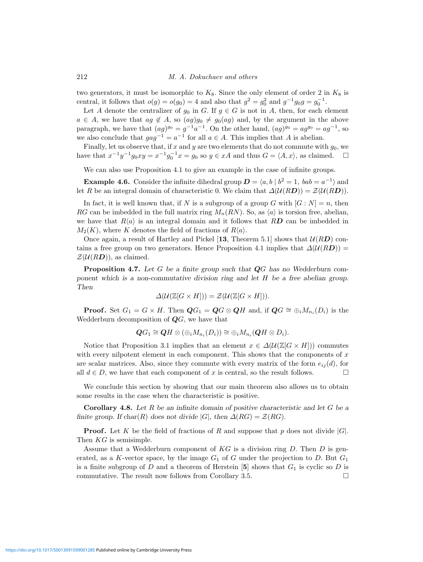212 M. A. Dokuchaev and others

two generators, it must be isomorphic to  $K_8$ . Since the only element of order 2 in  $K_8$  is central, it follows that  $o(g) = o(g_0) = 4$  and also that  $g^2 = g_0^2$  and  $g^{-1}g_0g = g_0^{-1}$ .

Let A denote the centralizer of  $g_0$  in G. If  $g \in G$  is not in A, then, for each element  $a \in A$ , we have that  $ag \notin A$ , so  $(ag)g_0 \neq g_0(ag)$  and, by the argument in the above paragraph, we have that  $(ag)^{g_0} = g^{-1}a^{-1}$ . On the other hand,  $(gg)^{g_0} = ag^{g_0} = ag^{-1}$ , so we also conclude that  $gag^{-1} = a^{-1}$  for all  $a \in A$ . This implies that A is abelian.

Finally, let us observe that, if x and y are two elements that do not commute with  $g_0$ , we have that  $x^{-1}y^{-1}g_0xy = x^{-1}g_0^{-1}x = g_0$  so  $y \in xA$  and thus  $G = \langle A, x \rangle$ , as claimed.  $\square$ 

We can also use Proposition 4.1 to give an example in the case of infinite groups.

**Example 4.6.** Consider the infinite dihedral group  $D = \langle a, b | b^2 = 1, bab = a^{-1} \rangle$  and let R be an integral domain of characteristic 0. We claim that  $\Delta(\mathcal{U}(R\mathbf{D})) = \mathcal{Z}(\mathcal{U}(R\mathbf{D})).$ 

In fact, it is well known that, if N is a subgroup of a group G with  $[G : N] = n$ , then RG can be imbedded in the full matrix ring  $M_n(RN)$ . So, as  $\langle a \rangle$  is torsion free, abelian, we have that  $R\langle a \rangle$  is an integral domain and it follows that RD can be imbedded in  $M_2(K)$ , where K denotes the field of fractions of  $R\langle a \rangle$ .

Once again, a result of Hartley and Pickel [13, Theorem 5.1] shows that  $U(RD)$  contains a free group on two generators. Hence Proposition 4.1 implies that  $\Delta(\mathcal{U}(RD))$  =  $\mathcal{Z}(\mathcal{U}(R\mathbf{D}))$ , as claimed.

**Proposition 4.7.** Let G be a finite group such that *Q*G has no Wedderburn component which is a non-commutative division ring and let H be a free abelian group. Then

$$
\Delta(\mathcal{U}(\mathbb{Z}[G \times H])) = \mathcal{Z}(\mathcal{U}(\mathbb{Z}[G \times H])).
$$

**Proof.** Set  $G_1 = G \times H$ . Then  $\mathbf{Q}G_1 = \mathbf{Q}G \otimes \mathbf{Q}H$  and, if  $\mathbf{Q}G \cong \bigoplus_i M_{n_i}(D_i)$  is the Wedderburn decomposition of *Q*G, we have that

$$
\mathbf{Q}G_1 \cong \mathbf{Q}H \otimes (\oplus_i M_{n_i}(D_i)) \cong \oplus_i M_{n_i}(\mathbf{Q}H \otimes D_i).
$$

Notice that Proposition 3.1 implies that an element  $x \in \Delta(\mathcal{U}(\mathbb{Z}[G \times H]))$  commutes with every nilpotent element in each component. This shows that the components of  $x$ are scalar matrices. Also, since they commute with every matrix of the form  $e_{ij}(d)$ , for all  $d \in D$ , we have that each component of x is central, so the result follows.

We conclude this section by showing that our main theorem also allows us to obtain some results in the case when the characteristic is positive.

**Corollary 4.8.** Let R be an infinite domain of positive characteristic and let G be a finite group. If char(R) does not divide |G|, then  $\Delta(RG) = \mathcal{Z}(RG)$ .

**Proof.** Let K be the field of fractions of R and suppose that p does not divide  $|G|$ . Then KG is semisimple.

Assume that a Wedderburn component of  $KG$  is a division ring  $D$ . Then  $D$  is generated, as a K-vector space, by the image  $G_1$  of G under the projection to D. But  $G_1$ is a finite subgroup of D and a theorem of Herstein  $[5]$  shows that  $G_1$  is cyclic so D is commutative. The result now follows from Corollary 3.5.